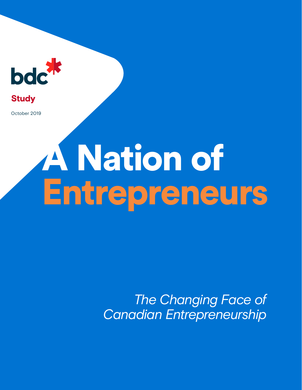

**Study** 

October 2019

# A Nation of Entrepreneurs

*The Changing Face of Canadian Entrepreneurship*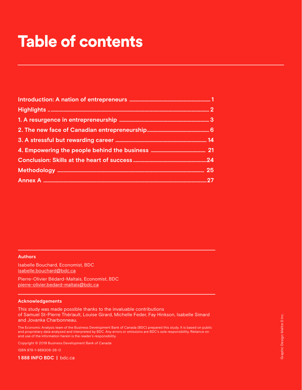# Table of contents

### **Authors**

Isabelle Bouchard, Economist, BDC [isabelle.bouchard@bdc.ca](mailto:isabelle.bouchard%40bdc.ca?subject=)

Pierre-Olivier Bédard-Maltais, Economist, BDC [pierre-olivier.bedard-maltais@bdc.ca](mailto:pierre-olivier.bedard-maltais%40bdc.ca?subject=)

### **Acknowledgements**

This study was made possible thanks to the invaluable contributions of Samuel St-Pierre Thériault, Louise Girard, Michelle Feder, Fay Hinkson, Isabelle Simard and Jovanka Charbonneau.

The Economic Analysis team of the Business Development Bank of Canada (BDC) prepared this study. It is based on public and proprietary data analyzed and interpreted by BDC. Any errors or omissions are BDC's sole responsibility. Reliance on and use of the information herein is the reader's responsibility.

Copyright © 2019 Business Development Bank of Canada

ISBN 978-1-989306-26-0

**1 888 INFO BDC |** [bdc.ca](http://www.bdc.ca)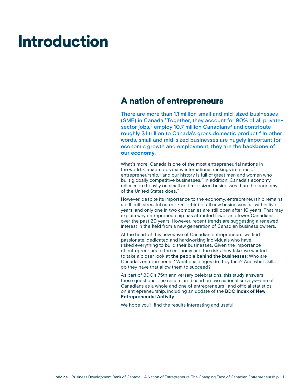# Introduction

### A nation of entrepreneurs

There are more than 1.1 million small and mid-sized businesses (SME) in Canada.1 Together, they account for 90% of all privatesector jobs,<sup>2</sup> employ 10.7 million Canadians<sup>3</sup> and contribute roughly \$1 trillion to Canada's gross domestic product.<sup>4</sup> In other words, small and mid-sized businesses are hugely important for economic growth and employment; they are the **backbone of our economy**.

What's more, Canada is one of the most entrepreneurial nations in the world. Canada tops many international rankings in terms of entrepreneurship,<sup>5</sup> and our history is full of great men and women who built globally competitive businesses.<sup>6</sup> In addition, Canada's economy relies more heavily on small and mid-sized businesses than the economy of the United States does.<sup>7</sup>

However, despite its importance to the economy, entrepreneurship remains a difficult, stressful career. One-third of all new businesses fail within five years, and only one in two companies are still open after 10 years. That may explain why entrepreneurship has attracted fewer and fewer Canadians over the past 20 years. However, recent trends are suggesting a renewed interest in the field from a new generation of Canadian business owners.

At the heart of this new wave of Canadian entrepreneurs, we find passionate, dedicated and hardworking individuals who have risked everything to build their businesses. Given the importance of entrepreneurs to the economy and the risks they take, we wanted to take a closer look at **the people behind the businesses**: Who are Canada's entrepreneurs? What challenges do they face? And what skills do they have that allow them to succeed?

As part of BDC's 75th anniversary celebrations, this study answers these questions. The results are based on two national surveys—one of Canadians as a whole and one of entrepreneurs—and official statistics on entrepreneurship, including an update of the **BDC Index of New Entrepreneurial Activity**.

We hope you'll find the results interesting and useful.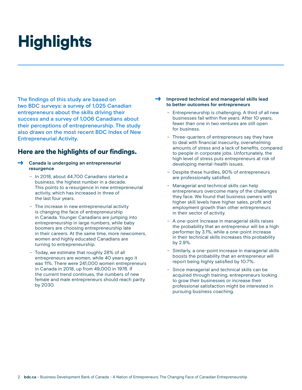# **Highlights**

The findings of this study are based on two BDC surveys: a survey of 1,025 Canadian entrepreneurs about the skills driving their success and a survey of 1,006 Canadians about their perceptions of entrepreneurship. The study also draws on the most recent BDC Index of New Entrepreneurial Activity.

### Here are the highlights of our findings.

- > **Canada is undergoing an entrepreneurial resurgence**
	- In 2018, about 44,700 Canadians started a business, the highest number in a decade. This points to a resurgence in new entrepreneurial activity, which has increased in three of the last four years.
	- The increase in new entrepreneurial activity is changing the face of entrepreneurship in Canada. Younger Canadians are jumping into entrepreneurship in large numbers, while baby boomers are choosing entrepreneurship late in their careers. At the same time, more newcomers, women and highly educated Canadians are turning to entrepreneurship.
	- Today, we estimate that roughly 28% of all entrepreneurs are women, while 40 years ago it was 11%. There were 241,000 women entrepreneurs in Canada in 2018, up from 49,000 in 1976. If the current trend continues, the numbers of new female and male entrepreneurs should reach parity by 2030.

### > **Improved technical and managerial skills lead to better outcomes for entrepreneurs**

- Entrepreneurship is challenging. A third of all new businesses fail within five years. After 10 years, fewer than one in two ventures are still open for business.
- Three-quarters of entrepreneurs say they have to deal with financial insecurity, overwhelming amounts of stress and a lack of benefits, compared to people in corporate jobs. Unfortunately, the high level of stress puts entrepreneurs at risk of developing mental-health issues.
- Despite these hurdles, 90% of entrepreneurs are professionally satisfied.
- Managerial and technical skills can help entrepreneurs overcome many of the challenges they face. We found that business owners with higher skill levels have higher sales, profit and employment growth than other entrepreneurs in their sector of activity.
- A one-point increase in managerial skills raises the probability that an entrepreneur will be a high performer by 3.1%, while a one-point increase in their technical skills increases this probability by 2.9%.
- Similarly, a one-point increase in managerial skills boosts the probability that an entrepreneur will report being highly satisfied by 10.7%.
- Since managerial and technical skills can be acquired through training, entrepreneurs looking to grow their businesses or increase their professional satisfaction might be interested in pursuing business coaching.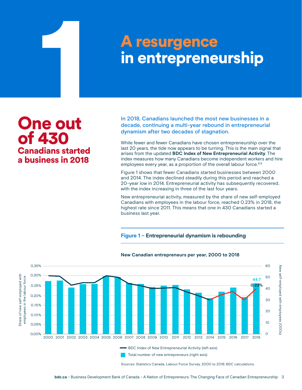# **1 A resurgence<br>
in entrepreneu<br>
1 A resurgence<br>
1 A resurgence<br>
1 A resurgence<br>
1 A resurgence** A resurgence<br>in entrepreneurship

One out of 430 Canadians started a business in 2018

In 2018, Canadians launched the most new businesses in a decade, continuing a multi-year rebound in entrepreneurial dynamism after two decades of stagnation.

While fewer and fewer Canadians have chosen entrepreneurship over the last 20 years, the tide now appears to be turning. This is the main signal that arises from the updated **BDC Index of New Entrepreneurial Activity**. The index measures how many Canadians become independent workers and hire employees every year, as a proportion of the overall labour force.<sup>8,9</sup>

Figure 1 shows that fewer Canadians started businesses between 2000 and 2014. The index declined steadily during this period and reached a 20-year low in 2014. Entrepreneurial activity has subsequently recovered, with the index increasing in three of the last four years.

New entrepreneurial activity, measured by the share of new self-employed Canadians with employees in the labour force, reached 0.23% in 2018, the highest rate since 2011. This means that one in 430 Canadians started a business last year.

### **Figure 1 – Entrepreneurial dynamism is rebounding**



### **New Canadian entrepreneurs per year, 2000 to 2018**

Sources: Statistics Canada, Labour Force Survey, 2000 to 2018; BDC calculations.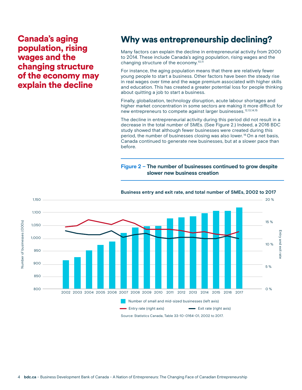Canada's aging population, rising wages and the changing structure of the economy may explain the decline

# Why was entrepreneurship declining?

Many factors can explain the decline in entrepreneurial activity from 2000 to 2014. These include Canada's aging population, rising wages and the changing structure of the economy.<sup>10,11</sup>

For instance, the aging population means that there are relatively fewer young people to start a business. Other factors have been the steady rise in real wages over time and the wage premium associated with higher skills and education. This has created a greater potential loss for people thinking about quitting a job to start a business.

Finally, globalization, technology disruption, acute labour shortages and higher market concentration in some sectors are making it more difficult for new entrepreneurs to compete against larger businesses.12,13,14,15

The decline in entrepreneurial activity during this period did not result in a decrease in the total number of SMEs. (See Figure 2.) Indeed, a 2016 BDC study showed that although fewer businesses were created during this period, the number of businesses closing was also lower. 16 On a net basis, Canada continued to generate new businesses, but at a slower pace than before.

### **Figure 2 – The number of businesses continued to grow despite slower new business creation**



**Business entry and exit rate, and total number of SMEs, 2002 to 2017**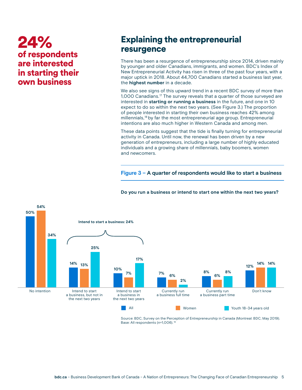# 24% of respondents are interested in starting their own business

## Explaining the entrepreneurial resurgence

There has been a resurgence of entrepreneurship since 2014, driven mainly by younger and older Canadians, immigrants, and women. BDC's Index of New Entrepreneurial Activity has risen in three of the past four years, with a major uptick in 2018. About 44,700 Canadians started a business last year, the **highest number** in a decade.

We also see signs of this upward trend in a recent BDC survey of more than 1,000 Canadians.17 The survey reveals that a quarter of those surveyed are interested in **starting or running a business** in the future, and one in 10 expect to do so within the next two years. (See Figure 3.) The proportion of people interested in starting their own business reaches 42% among millennials,18 by far the most entrepreneurial age group. Entrepreneurial intentions are also much higher in Western Canada and among men.

These data points suggest that the tide is finally turning for entrepreneurial activity in Canada. Until now, the renewal has been driven by a new generation of entrepreneurs, including a large number of highly educated individuals and a growing share of millennials, baby boomers, women and newcomers.

**Figure 3 – A quarter of respondents would like to start a business**



### **Do you run a business or intend to start one within the next two years?**

Source: BDC, Survey on the Perception of Entrepreneurship in Canada (Montreal: BDC, May 2019). Base: All respondents (n=1,006).<sup>19</sup>

**All All Women** Women **Youth 18–34 years old**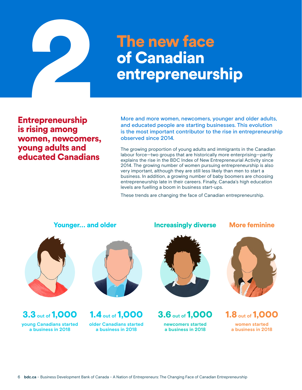

# of Canadian entrepreneurship

Entrepreneurship is rising among women, newcomers, young adults and educated Canadians

More and more women, newcomers, younger and older adults, and educated people are starting businesses. This evolution is the most important contributor to the rise in entrepreneurship observed since 2014.

The growing proportion of young adults and immigrants in the Canadian labour force—two groups that are historically more enterprising—partly explains the rise in the BDC Index of New Entrepreneurial Activity since 2014. The growing number of women pursuing entrepreneurship is also very important, although they are still less likely than men to start a business. In addition, a growing number of baby boomers are choosing entrepreneurship late in their careers. Finally, Canada's high education levels are fuelling a boom in business start-ups.

These trends are changing the face of Canadian entrepreneurship.



3.3 **out of** 1,000 **young Canadians started a business in 2018**



1.4 **out of** 1,000 **older Canadians started a business in 2018**

### Younger… and older Increasingly diverse More feminine



3.6 **out of** 1,000 **newcomers started a business in 2018**





1.8 **out of** 1,000 **women started a business in 2018**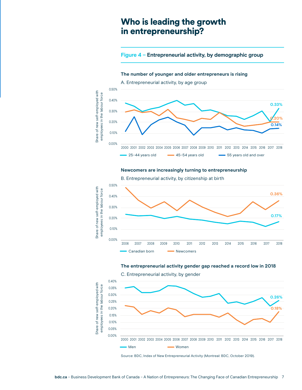### Who is leading the growth in entrepreneurship?

### **Figure 4 – Entrepreneurial activity, by demographic group**

### **The number of younger and older entrepreneurs is rising**



### **Newcomers are increasingly turning to entrepreneurship**



### **The entrepreneurial activity gender gap reached a record low in 2018**



Source: BDC, Index of New Entrepreneurial Activity (Montreal: BDC, October 2019).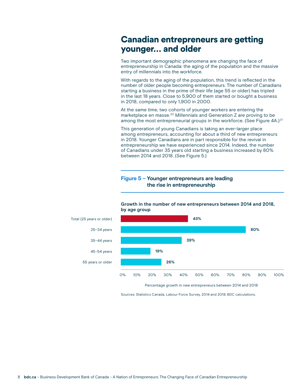### Canadian entrepreneurs are getting younger… and older

Two important demographic phenomena are changing the face of entrepreneurship in Canada: the aging of the population and the massive entry of millennials into the workforce.

With regards to the aging of the population, this trend is reflected in the number of older people becoming entrepreneurs. The number of Canadians starting a business in the prime of their life (age 55 or older) has tripled in the last 18 years. Close to 5,900 of them started or bought a business in 2018, compared to only 1,900 in 2000.

At the same time, two cohorts of younger workers are entering the marketplace en masse.20 Millennials and Generation Z are proving to be among the most entrepreneurial groups in the workforce. (See Figure 4A.)<sup>21</sup>

This generation of young Canadians is taking an ever-larger place among entrepreneurs, accounting for about a third of new entrepreneurs in 2018. Younger Canadians are in part responsible for the revival in entrepreneurship we have experienced since 2014. Indeed, the number of Canadians under 35 years old starting a business increased by 80% between 2014 and 2018. (See Figure 5.)

### **Figure 5 – Younger entrepreneurs are leading the rise in entrepreneurship**



### **Growth in the number of new entrepreneurs between 2014 and 2018, by age group**

Percentage growth in new entrepreneurs between 2014 and 2018

Sources: Statistics Canada, Labour Force Survey, 2014 and 2018; BDC calculations.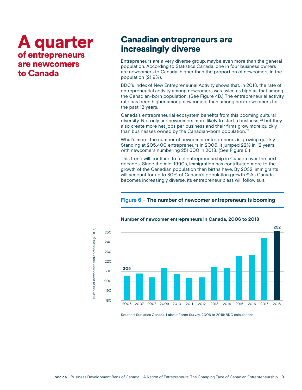# A quarter of entrepreneurs are newcomers to Canada

### Canadian entrepreneurs are increasingly diverse

Entrepreneurs are a very diverse group, maybe even more than the general population. According to Statistics Canada, one in four business owners are newcomers to Canada, higher than the proportion of newcomers in the population (21.9%).

BDC's Index of New Entrepreneurial Activity shows that, in 2018, the rate of entrepreneurial activity among newcomers was twice as high as that among the Canadian-born population. (See Figure 4B.) The entrepreneurial activity rate has been higher among newcomers than among non-newcomers for the past 12 years.

Canada's entrepreneurial ecosystem benefits from this booming cultural diversity. Not only are newcomers more likely to start a business,<sup>22</sup> but they also create more net jobs per business and their firms grow more quickly than businesses owned by the Canadian-born population.<sup>23</sup>

What's more, the number of newcomer entrepreneurs is growing quickly. Standing at 205,400 entrepreneurs in 2006, it jumped 22% in 12 years, with newcomers numbering 251,600 in 2018. (See Figure 6.)

This trend will continue to fuel entrepreneurship in Canada over the next decades. Since the mid-1990s, immigration has contributed more to the growth of the Canadian population than births have. By 2032, immigrants will account for up to 80% of Canada's population growth.<sup>24</sup> As Canada becomes increasingly diverse, its entrepreneur class will follow suit.

### **Figure 6 – The number of newcomer entrepreneurs is booming**



### **Number of newcomer entrepreneurs in Canada, 2006 to 2018**

Sources: Statistics Canada, Labour Force Survey, 2006 to 2018; BDC calculations.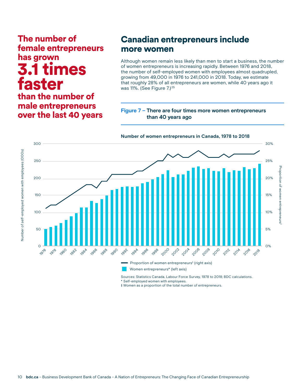# The number of female entrepreneurs has grown times faster

### than the number of male entrepreneurs over the last 40 years

## Canadian entrepreneurs include more women

Although women remain less likely than men to start a business, the number of women entrepreneurs is increasing rapidly. Between 1976 and 2018, the number of self-employed women with employees almost quadrupled, growing from 49,000 in 1976 to 241,000 in 2018. Today, we estimate that roughly 28% of all entrepreneurs are women, while 40 years ago it was 11%. (See Figure 7.)<sup>25</sup>

### **Figure 7 – There are four times more women entrepreneurs than 40 years ago**



Sources: Statistics Canada, Labour Force Survey, 1978 to 2018; BDC calculations.

\* Self-employed women with employees.

‡ Women as a proportion of the total number of entrepreneurs.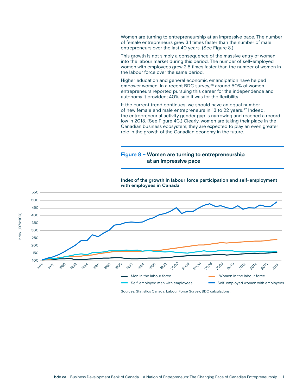Women are turning to entrepreneurship at an impressive pace. The number of female entrepreneurs grew 3.1 times faster than the number of male entrepreneurs over the last 40 years. (See Figure 8.)

This growth is not simply a consequence of the massive entry of women into the labour market during this period. The number of self-employed women with employees grew 2.5 times faster than the number of women in the labour force over the same period.

Higher education and general economic emancipation have helped empower women. In a recent BDC survey,<sup>26</sup> around 50% of women entrepreneurs reported pursuing this career for the independence and autonomy it provided; 40% said it was for the flexibility.

If the current trend continues, we should have an equal number of new female and male entrepreneurs in 13 to 22 years.<sup>27</sup> Indeed, the entrepreneurial activity gender gap is narrowing and reached a record low in 2018. (See Figure 4C.) Clearly, women are taking their place in the Canadian business ecosystem; they are expected to play an even greater role in the growth of the Canadian economy in the future.

### **Figure 8 – Women are turning to entrepreneurship at an impressive pace**



**Index of the growth in labour force participation and self-employment with employees in Canada**

Sources: Statistics Canada, Labour Force Survey; BDC calculations.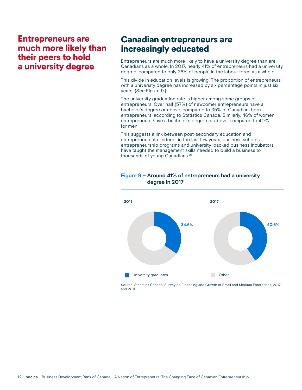## Entrepreneurs are much more likely than their peers to hold a university degree

### Canadian entrepreneurs are increasingly educated

Entrepreneurs are much more likely to have a university degree than are Canadians as a whole. In 2017, nearly 41% of entrepreneurs had a university degree, compared to only 26% of people in the labour force as a whole.

This divide in education levels is growing. The proportion of entrepreneurs with a university degree has increased by six percentage points in just six years. (See Figure 9.)

The university graduation rate is higher among some groups of entrepreneurs. Over half (57%) of newcomer entrepreneurs have a bachelor's degree or above, compared to 35% of Canadian-born entrepreneurs, according to Statistics Canada. Similarly, 46% of women entrepreneurs have a bachelor's degree or above, compared to 40% for men.

This suggests a link between post-secondary education and entrepreneurship. Indeed, in the last few years, business schools, entrepreneurship programs and university-backed business incubators have taught the management skills needed to build a business to thousands of young Canadians.28

### **Figure 9 – Around 41% of entrepreneurs had a university degree in 2017**



Source: Statistics Canada, Survey on Financing and Growth of Small and Medium Enterprises, 2017 and 2011.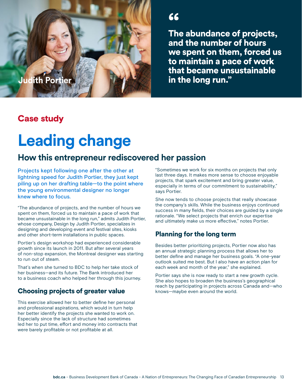" The abundance of projects, and the number of hours we spent on them, forced us to maintain a pace of work that became unsustainable **Judith Portier in the long run."** 

## Case study

# **Leading change**

## **How this entrepreneur rediscovered her passion**

Projects kept following one after the other at lightning speed for Judith Portier, they just kept piling up on her drafting table—to the point where the young environmental designer no longer knew where to focus.

"The abundance of projects, and the number of hours we spent on them, forced us to maintain a pace of work that became unsustainable in the long run," admits Judith Portier, whose company, Design by Judith Portier, specializes in designing and developing event and festival sites, kiosks and other short-term installations in public spaces.

Portier's design workshop had experienced considerable growth since its launch in 2011. But after several years of non-stop expansion, the Montreal designer was starting to run out of steam.

That's when she turned to BDC to help her take stock of her business—and its future. The Bank introduced her to a business coach who helped her through this journey.

### Choosing projects of greater value

This exercise allowed her to better define her personal and professional aspirations, which would in turn help her better identify the projects she wanted to work on. Especially since the lack of structure had sometimes led her to put time, effort and money into contracts that were barely profitable or not profitable at all.

"Sometimes we work for six months on projects that only last three days. It makes more sense to choose enjoyable projects, that spark excitement and bring greater value, especially in terms of our commitment to sustainability," says Portier.

She now tends to choose projects that really showcase the company's skills. While the business enjoys continued success in many fields, their choices are guided by a single rationale. "We select projects that enrich our expertise and ultimately make us more effective," notes Portier.

### Planning for the long term

Besides better prioritizing projects, Portier now also has an annual strategic planning process that allows her to better define and manage her business goals. "A one-year outlook suited me best. But I also have an action plan for each week and month of the year," she explained.

Portier says she is now ready to start a new growth cycle. She also hopes to broaden the business's geographical reach by participating in projects across Canada and—who knows—maybe even around the world.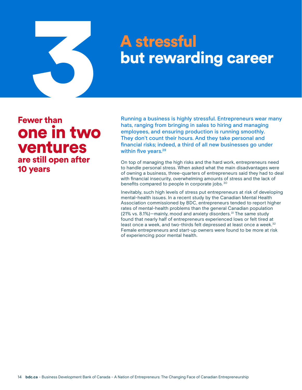# **A stressfull<br>Dut reward<br>Stress is highly street than** but rewarding career

Fewer than one in two ventures are still open after 10 years

Running a business is highly stressful. Entrepreneurs wear many hats, ranging from bringing in sales to hiring and managing employees, and ensuring production is running smoothly. They don't count their hours. And they take personal and financial risks; indeed, a third of all new businesses go under within five years.<sup>29</sup>

On top of managing the high risks and the hard work, entrepreneurs need to handle personal stress. When asked what the main disadvantages were of owning a business, three-quarters of entrepreneurs said they had to deal with financial insecurity, overwhelming amounts of stress and the lack of benefits compared to people in corporate jobs. 30

Inevitably, such high levels of stress put entrepreneurs at risk of developing mental-health issues. In a recent study by the Canadian Mental Health Association commissioned by BDC, entrepreneurs tended to report higher rates of mental-health problems than the general Canadian population (21% vs. 8.1%)—mainly, mood and anxiety disorders.<sup>31</sup> The same study found that nearly half of entrepreneurs experienced lows or felt tired at least once a week, and two-thirds felt depressed at least once a week.<sup>32</sup> Female entrepreneurs and start-up owners were found to be more at risk of experiencing poor mental health.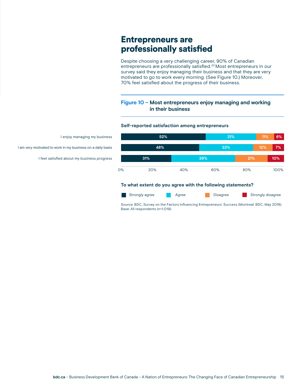## Entrepreneurs are professionally satisfied

Despite choosing a very challenging career, 90% of Canadian entrepreneurs are professionally satisfied.<sup>33</sup> Most entrepreneurs in our survey said they enjoy managing their business and that they are very motivated to go to work every morning. (See Figure 10.) Moreover, 70% feel satisfied about the progress of their business.

### **Figure 10 – Most entrepreneurs enjoy managing and working in their business**

### **Self-reported satisfaction among entrepreneurs**

**To what extent do you agree with the following statements?** 0% 20% 40% 60% 80% 100% I enjoy managing my business **52% 31% 11% 6% 33% 39% 12% 21% 7% 10%**

**Agree Agree Agree Agree Strongly disagree** Strongly disagree

Source: BDC, Survey on the Factors Influencing Entrepreneurs' Success (Montreal: BDC, May 2019). Base: All respondents (n=1,019).

I am very motivated to work in my business on a daily basis **48%**

I feel satisfied about my business progress **31%**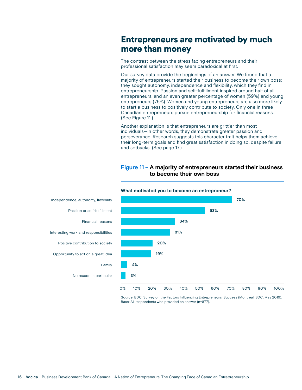## Entrepreneurs are motivated by much more than money

The contrast between the stress facing entrepreneurs and their professional satisfaction may seem paradoxical at first.

Our survey data provide the beginnings of an answer. We found that a majority of entrepreneurs started their business to become their own boss; they sought autonomy, independence and flexibility, which they find in entrepreneurship. Passion and self-fulfillment inspired around half of all entrepreneurs, and an even greater percentage of women (59%) and young entrepreneurs (75%). Women and young entrepreneurs are also more likely to start a business to positively contribute to society. Only one in three Canadian entrepreneurs pursue entrepreneurship for financial reasons. (See Figure 11.)

Another explanation is that entrepreneurs are grittier than most individuals—in other words, they demonstrate greater passion and perseverance. Research suggests this character trait helps them achieve their long-term goals and find great satisfaction in doing so, despite failure and setbacks. (See page 17.)

### **Figure 11 – A majority of entrepreneurs started their business to become their own boss**



**What motivated you to become an entrepreneur?**

Source: BDC, Survey on the Factors Influencing Entrepreneurs' Success (Montreal: BDC, May 2019). Base: All respondents who provided an answer (n=877).

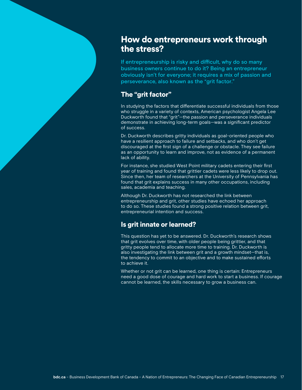## How do entrepreneurs work through the stress?

If entrepreneurship is risky and difficult, why do so many business owners continue to do it? Being an entrepreneur obviously isn't for everyone; it requires a mix of passion and perseverance, also known as the "grit factor."

### The "grit factor"

In studying the factors that differentiate successful individuals from those who struggle in a variety of contexts, American psychologist Angela Lee Duckworth found that "grit"—the passion and perseverance individuals demonstrate in achieving long-term goals—was a significant predictor of success.

Dr. Duckworth describes gritty individuals as goal-oriented people who have a resilient approach to failure and setbacks, and who don't get discouraged at the first sign of a challenge or obstacle. They see failure as an opportunity to learn and improve, not as evidence of a permanent lack of ability.

For instance, she studied West Point military cadets entering their first year of training and found that grittier cadets were less likely to drop out. Since then, her team of researchers at the University of Pennsylvania has found that grit explains success in many other occupations, including sales, academia and teaching.

Although Dr. Duckworth has not researched the link between entrepreneurship and grit, other studies have echoed her approach to do so. These studies found a strong positive relation between grit, entrepreneurial intention and success.

### Is grit innate or learned?

This question has yet to be answered. Dr. Duckworth's research shows that grit evolves over time, with older people being grittier, and that gritty people tend to allocate more time to training. Dr. Duckworth is also investigating the link between grit and a growth mindset—that is, the tendency to commit to an objective and to make sustained efforts to achieve it.

Whether or not grit can be learned, one thing is certain: Entrepreneurs need a good dose of courage and hard work to start a business. If courage cannot be learned, the skills necessary to grow a business can.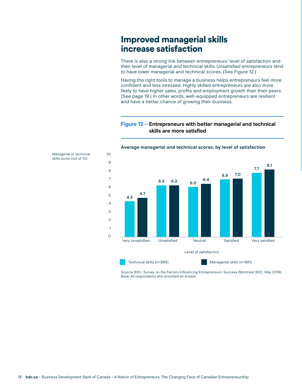## Improved managerial skills increase satisfaction

There is also a strong link between entrepreneurs' level of satisfaction and their level of managerial and technical skills. Unsatisfied entrepreneurs tend to have lower managerial and technical scores. (See Figure 12.)

Having the right tools to manage a business helps entrepreneurs feel more confident and less stressed. Highly skilled entrepreneurs are also more likely to have higher sales, profits and employment growth than their peers. (See page 19.) In other words, well-equipped entrepreneurs are resilient and have a better chance of growing their business.

**Figure 12 – Entrepreneurs with better managerial and technical skills are more satisfied** 



### **Average managerial and technical scores, by level of satisfaction**

Source: BDC, Survey on the Factors Influencing Entrepreneurs' Success (Montreal: BDC, May 2019). Base: All respondents who provided an answer.

Managerial or technical skills score (out of 10)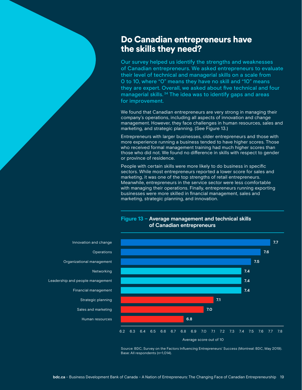## Do Canadian entrepreneurs have the skills they need?

Our survey helped us identify the strengths and weaknesses of Canadian entrepreneurs. We asked entrepreneurs to evaluate their level of technical and managerial skills on a scale from 0 to 10, where "0" means they have no skill and "10" means they are expert. Overall, we asked about five technical and four managerial skills. 34 The idea was to identify gaps and areas for improvement.

We found that Canadian entrepreneurs are very strong in managing their company's operations, including all aspects of innovation and change management. However, they face challenges in human resources, sales and marketing, and strategic planning. (See Figure 13.)

Entrepreneurs with larger businesses, older entrepreneurs and those with more experience running a business tended to have higher scores. Those who received formal management training had much higher scores than those who did not. We found no difference in skills with respect to gender or province of residence.

People with certain skills were more likely to do business in specific sectors. While most entrepreneurs reported a lower score for sales and marketing, it was one of the top strengths of retail entrepreneurs. Meanwhile, entrepreneurs in the service sector were less comfortable with managing their operations. Finally, entrepreneurs running exporting businesses were more skilled in financial management, sales and marketing, strategic planning, and innovation.

### **Figure 13 – Average management and technical skills of Canadian entrepreneurs**



Source: BDC, Survey on the Factors Influencing Entrepreneurs' Success (Montreal: BDC, May 2019). Base: All respondents (n=1,014).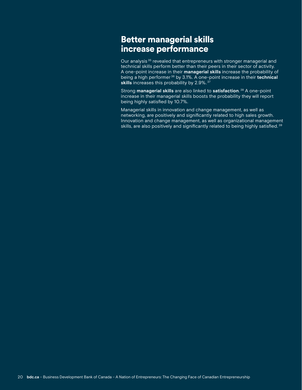# Better managerial skills increase performance

Our analysis 35 revealed that entrepreneurs with stronger managerial and technical skills perform better than their peers in their sector of activity. A one-point increase in their **managerial skills** increase the probability of being a high performer 36 by 3.1%. A one-point increase in their **technical**  skills increases this probability by 2.9%.<sup>37</sup>

Strong **managerial skills** are also linked to **satisfaction**. 38 A one-point increase in their managerial skills boosts the probability they will report being highly satisfied by 10.7%.

Managerial skills in innovation and change management, as well as networking, are positively and significantly related to high sales growth. Innovation and change management, as well as organizational management skills, are also positively and significantly related to being highly satisfied.<sup>39</sup>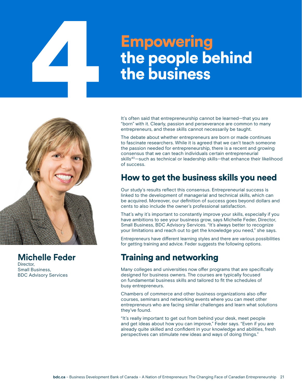# Empowering<br>the people be<br>the business the people behind the business



**Michelle Feder** Director, Small Business,

BDC Advisory Services

It's often said that entrepreneurship cannot be learned—that you are "born" with it. Clearly, passion and perseverance are common to many entrepreneurs, and these skills cannot necessarily be taught.

The debate about whether entrepreneurs are born or made continues to fascinate researchers. While it is agreed that we can't teach someone the passion needed for entrepreneurship, there is a recent and growing consensus that we can teach individuals certain entrepreneurial skills<sup>40</sup>—such as technical or leadership skills—that enhance their likelihood of success.

# How to get the business skills you need

Our study's results reflect this consensus. Entrepreneurial success is linked to the development of managerial and technical skills, which can be acquired. Moreover, our definition of success goes beyond dollars and cents to also include the owner's professional satisfaction.

That's why it's important to constantly improve your skills, especially if you have ambitions to see your business grow, says Michelle Feder, Director, Small Business, BDC Advisory Services. "It's always better to recognize your limitations and reach out to get the knowledge you need," she says.

Entrepreneurs have different learning styles and there are various possibilities for getting training and advice. Feder suggests the following options.

# Training and networking

Many colleges and universities now offer programs that are specifically designed for business owners. The courses are typically focused on fundamental business skills and tailored to fit the schedules of busy entrepreneurs.

Chambers of commerce and other business organizations also offer courses, seminars and networking events where you can meet other entrepreneurs who are facing similar challenges and learn what solutions they've found.

"It's really important to get out from behind your desk, meet people and get ideas about how you can improve," Feder says. "Even if you are already quite skilled and confident in your knowledge and abilities, fresh perspectives can stimulate new ideas and ways of doing things."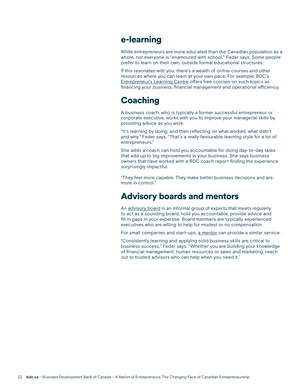### e-learning

While entrepreneurs are more educated than the Canadian population as a whole, not everyone is "enamoured with school," Feder says. Some people prefer to learn on their own, outside formal educational structures.

If this resonates with you, there's a wealth of online courses and other resources where you can learn at your own pace. For example, BDC's [Entrepreneur's Learning Centre](https://www.bdc.ca/en/articles-tools/entrepreneur-toolkit/entrepreneur-learning-centre/pages/default.aspx) offers free courses on such topics as financing your business, financial management and operational efficiency.

# **Coaching**

A business coach, who is typically a former successful entrepreneur or corporate executive, works with you to improve your managerial skills by providing advice as you work.

"It's learning by doing, and then reflecting on what worked, what didn't and why," Feder says. "That's a really favourable learning style for a lot of entrepreneurs."

She adds a coach can hold you accountable for doing day-to-day tasks that add up to big improvements in your business. She says business owners that have worked with a BDC coach report finding the experience surprisingly impactful.

"They feel more capable. They make better business decisions and are more in control."

# Advisory boards and mentors

An [advisory board](https://www.bdc.ca/en/articles-tools/business-strategy-planning/manage-business/pages/how-set-up-advisory-board-business.aspx) is an informal group of experts that meets regularly to act as a sounding board, hold you accountable, provide advice and fill in gaps in your expertise. Board members are typically experienced executives who are willing to help for modest or no compensation.

For small companies and start-ups, [a mentor](https://www.bdc.ca/en/articles-tools/business-strategy-planning/manage-business/pages/how-find-business-mentor-tips-young-entrepreneurs.aspx) can provide a similar service.

"Consistently learning and applying solid business skills are critical to business success," Feder says. "Whether you are building your knowledge of financial management, human resources or sales and marketing, reach out to trusted advisors who can help when you need it."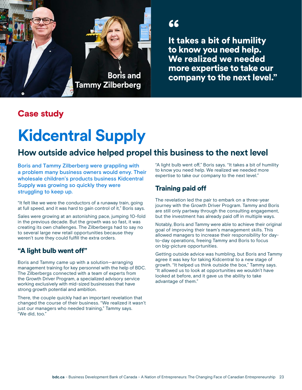

" It takes a bit of humility to know you need help. We realized we needed **more expertise to take our**<br>"Tammy Zilberberg **and all company to the next level."**<br>Tammy Zilberberg

# Case study

# **Kidcentral Supply**

# **How outside advice helped propel this business to the next level**

Boris and Tammy Zilberberg were grappling with a problem many business owners would envy. Their wholesale children's products business Kidcentral Supply was growing so quickly they were struggling to keep up.

"It felt like we were the conductors of a runaway train, going at full speed, and it was hard to gain control of it," Boris says.

Sales were growing at an astonishing pace, jumping 10-fold in the previous decade. But the growth was so fast, it was creating its own challenges. The Zilberbergs had to say no to several large new retail opportunities because they weren't sure they could fulfill the extra orders.

### "A light bulb went off"

Boris and Tammy came up with a solution—arranging management training for key personnel with the help of BDC. The Zilberbergs connected with a team of experts from the Growth Driver Program, a specialized advisory service working exclusively with mid-sized businesses that have strong growth potential and ambition.

There, the couple quickly had an important revelation that changed the course of their business. "We realized it wasn't just our managers who needed training," Tammy says. "We did, too."

"A light bulb went off," Boris says. "It takes a bit of humility to know you need help. We realized we needed more expertise to take our company to the next level."

### Training paid off

The revelation led the pair to embark on a three-year journey with the Growth Driver Program. Tammy and Boris are still only partway through the consulting engagement, but the investment has already paid off in multiple ways.

Notably, Boris and Tammy were able to achieve their original goal of improving their team's management skills. This allowed managers to increase their responsibility for dayto-day operations, freeing Tammy and Boris to focus on big-picture opportunities.

Getting outside advice was humbling, but Boris and Tammy agree it was key for taking Kidcentral to a new stage of growth. "It helped us think outside the box," Tammy says. "It allowed us to look at opportunities we wouldn't have looked at before, and it gave us the ability to take advantage of them."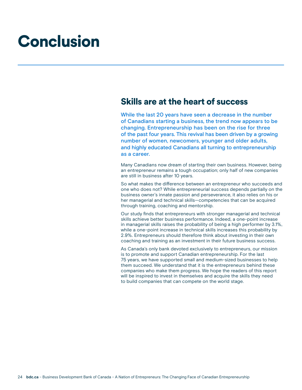# Conclusion

### Skills are at the heart of success

While the last 20 years have seen a decrease in the number of Canadians starting a business, the trend now appears to be changing. Entrepreneurship has been on the rise for three of the past four years. This revival has been driven by a growing number of women, newcomers, younger and older adults, and highly educated Canadians all turning to entrepreneurship as a career.

Many Canadians now dream of starting their own business. However, being an entrepreneur remains a tough occupation; only half of new companies are still in business after 10 years.

So what makes the difference between an entrepreneur who succeeds and one who does not? While entrepreneurial success depends partially on the business owner's innate passion and perseverance, it also relies on his or her managerial and technical skills—competencies that can be acquired through training, coaching and mentorship.

Our study finds that entrepreneurs with stronger managerial and technical skills achieve better business performance. Indeed, a one-point increase in managerial skills raises the probability of being a high performer by 3.1%, while a one-point increase in technical skills increases this probability by 2.9%. Entrepreneurs should therefore think about investing in their own coaching and training as an investment in their future business success.

As Canada's only bank devoted exclusively to entrepreneurs, our mission is to promote and support Canadian entrepreneurship. For the last 75 years, we have supported small and medium-sized businesses to help them succeed. We understand that it is the entrepreneurs behind these companies who make them progress. We hope the readers of this report will be inspired to invest in themselves and acquire the skills they need to build companies that can compete on the world stage.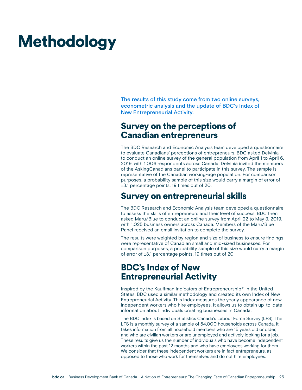# **Methodology**

The results of this study come from two online surveys, econometric analysis and the update of BDC's Index of New Entrepreneurial Activity.

### Survey on the perceptions of Canadian entrepreneurs

The BDC Research and Economic Analysis team developed a questionnaire to evaluate Canadians' perceptions of entrepreneurs. BDC asked Delvinia to conduct an online survey of the general population from April 1 to April 6, 2019, with 1,006 respondents across Canada. Delvinia invited the members of the AskingCanadians panel to participate in this survey. The sample is representative of the Canadian working-age population. For comparison purposes, a probability sample of this size would carry a margin of error of ±3.1 percentage points, 19 times out of 20.

## Survey on entrepreneurial skills

The BDC Research and Economic Analysis team developed a questionnaire to assess the skills of entrepreneurs and their level of success. BDC then asked Maru/Blue to conduct an online survey from April 22 to May 3, 2019, with 1,025 business owners across Canada. Members of the Maru/Blue Panel received an email invitation to complete the survey.

The results were weighted by region and size of business to ensure findings were representative of Canadian small and mid-sized businesses. For comparison purposes, a probability sample of this size would carry a margin of error of ±3.1 percentage points, 19 times out of 20.

# BDC's Index of New Entrepreneurial Activity

Inspired by the Kauffman Indicators of Entrepreneurship<sup>41</sup> in the United States, BDC used a similar methodology and created its own Index of New Entrepreneurial Activity. This index measures the yearly appearance of new independent workers who hire employees. It allows us to obtain up-to-date information about individuals creating businesses in Canada.

The BDC index is based on Statistics Canada's Labour Force Survey (LFS). The LFS is a monthly survey of a sample of 54,000 households across Canada. It takes information from all household members who are 15 years old or older, and who are civilian workers or are unemployed and actively looking for a job. These results give us the number of individuals who have become independent workers within the past 12 months and who have employees working for them. We consider that these independent workers are in fact entrepreneurs, as opposed to those who work for themselves and do not hire employees.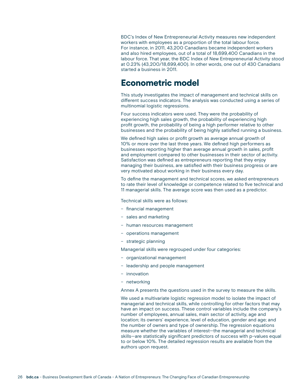BDC's Index of New Entrepreneurial Activity measures new independent workers with employees as a proportion of the total labour force. For instance, in 2011, 43,200 Canadians became independent workers and also hired employees, out of a total of 18,699,400 Canadians in the labour force. That year, the BDC Index of New Entrepreneurial Activity stood at 0.23% (43,200/18,699,400). In other words, one out of 430 Canadians started a business in 2011.

### Econometric model

This study investigates the impact of management and technical skills on different success indicators. The analysis was conducted using a series of multinomial logistic regressions.

Four success indicators were used. They were the probability of experiencing high sales growth, the probability of experiencing high profit growth, the probability of being a high performer relative to other businesses and the probability of being highly satisfied running a business.

We defined high sales or profit growth as average annual growth of 10% or more over the last three years. We defined high performers as businesses reporting higher than average annual growth in sales, profit and employment compared to other businesses in their sector of activity. Satisfaction was defined as entrepreneurs reporting that they enjoy managing their business, are satisfied with their business progress or are very motivated about working in their business every day.

To define the management and technical scores, we asked entrepreneurs to rate their level of knowledge or competence related to five technical and 11 managerial skills. The average score was then used as a predictor.

Technical skills were as follows:

- financial management
- sales and marketing
- human resources management
- operations management
- strategic planning

Managerial skills were regrouped under four categories:

- organizational management
- leadership and people management
- innovation
- networking

Annex A presents the questions used in the survey to measure the skills.

We used a multivariate logistic regression model to isolate the impact of managerial and technical skills, while controlling for other factors that may have an impact on success. These control variables include the company's number of employees, annual sales, main sector of activity, age and location; its owners' experience, level of education, gender and age; and the number of owners and type of ownership. The regression equations measure whether the variables of interest—the managerial and technical skills—are statistically significant predictors of success with p-values equal to or below 10%. The detailed regression results are available from the authors upon request.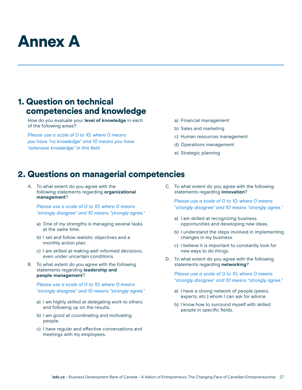# Annex A

# 1. Question on technical competencies and knowledge

How do you evaluate your **level of knowledge** in each of the following areas?

*Please use a scale of 0 to 10, where 0 means you have "no knowledge" and 10 means you have "extensive knowledge" in this field.*

- a) Financial management
- b) Sales and marketing
- c) Human resources management
- d) Operations management
- e) Strategic planning

## 2. Questions on managerial competencies

A. To what extent do you agree with the following statements regarding **organizational management**?

*Please use a scale of 0 to 10, where 0 means "strongly disagree" and 10 means "strongly agree."* 

- a) One of my strengths is managing several tasks at the same time.
- b) I set and follow realistic objectives and a monthly action plan.
- c) I am skilled at making well-informed decisions, even under uncertain conditions.
- B. To what extent do you agree with the following statements regarding **leadership and people management**?

*Please use a scale of 0 to 10, where 0 means "strongly disagree" and 10 means "strongly agree."* 

- a) I am highly skilled at delegating work to others and following up on the results.
- b) I am good at coordinating and motivating people.
- c) I have regular and effective conversations and meetings with my employees.

C. To what extent do you agree with the following statements regarding **innovation**?

*Please use a scale of 0 to 10, where 0 means "strongly disagree" and 10 means "strongly agree."* 

- a) I am skilled at recognizing business opportunities and developing new ideas.
- b) I understand the steps involved in implementing changes in my business.
- c) I believe it is important to constantly look for new ways to do things.
- D. To what extent do you agree with the following statements regarding **networking**?

*Please use a scale of 0 to 10, where 0 means "strongly disagree" and 10 means "strongly agree."* 

- a) I have a strong network of people (peers, experts, etc.) whom I can ask for advice.
- b) I know how to surround myself with skilled people in specific fields.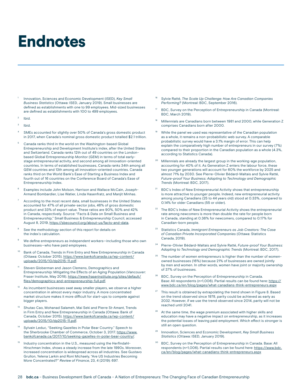# Endnotes

- <sup>1</sup> Innovation, Sciences and Economic Development (ISED), *Key Small Business Statistics* (Ottawa: ISED, January 2019). Small businesses are defined as establishments with one to 99 employees. Mid-sized businesses are defined as establishments with 100 to 499 employees.
- $2$  Ibid.
- <sup>3</sup> Ibid.
- SMEs accounted for slightly over 50% of Canada's gross domestic product in 2017, when Canada's nominal gross domestic product totalled \$2.1 trillion.
- <sup>5</sup> Canada ranks third in the world on the Washington-based Global Entrepreneurship and Development Institute's index, after the United States and Switzerland. Canada ranks 12th out of 49 countries on the Londonbased Global Entrepreneurship Monitor (GEM) in terms of total earlystage entrepreneurial activity, and second among all innovation-oriented countries. In terms of established businesses, Canada ranks 34th among all GEM countries and 13th among all innovation-oriented countries. Canada ranks third on the World Bank's Ease of Starting a Business Index and fourth out of 16 countries on the Conference Board of Canada's Ease of Entrepreneurship Index.
- Examples include John Molson, Harrison and Wallace McCain, Joseph-Armand Bombardier, Lise Watier, Linda Hasenfratz, and Manjit Minhas.
- According to the most recent data, small businesses in the United States accounted for 47% of all private-sector jobs, 46% of gross domestic product and 33% of export value. These ratios are 90%, 50% and 42% in Canada, respectively. Source: "Facts & Data on Small Business and Entrepreneurship," Small Business & Entrepreneurship Council, accessed August 8, 2019, [https://sbecouncil.org/about-us/facts-and-data.](https://sbecouncil.org/about-us/facts-and-data)
- See the methodology section of this report for details on the index's calculation.
- We define entrepreneurs as independent workers-including those who own businesses—who have paid employees.
- Bank of Canada, Trends in Firm Entry and New Entrepreneurship in Canada (Ottawa: October 2015). [https://www.bankofcanada.ca/wp-content/](https://www.bankofcanada.ca/wp-content/uploads/2015/10/dp2015-11.pdf) [uploads/2015/10/dp2015-11.pdf.](https://www.bankofcanada.ca/wp-content/uploads/2015/10/dp2015-11.pdf)
- Steven Globerman and Jason Clemens, Demographics and Entrepreneurship: Mitigating the Effects of an Aging Population (Vancouver: Fraser Institute, May 2018). [https://www.fraserinstitute.org/sites/default/](https://www.fraserinstitute.org/sites/default/files/demographics-and-entrepreneurship-full.pdf) [files/demographics-and-entrepreneurship-full.pdf.](https://www.fraserinstitute.org/sites/default/files/demographics-and-entrepreneurship-full.pdf)
- $12$  As incumbent businesses swat away smaller players, we observe a higher concentration in almost every major industry. A more concentrated market structure makes it more difficult for start-ups to compete against bigger players.
- <sup>13</sup> Shutao Cao, Mohanad Salameh, Mai Seki and Pierre St-Amant, Trends in Firm Entry and New Entrepreneurship in Canada (Ottawa: Bank of Canada, October 2015). [https://www.bankofcanada.ca/wp-content/](https://www.bankofcanada.ca/wp-content/uploads/2015/10/dp2015-11.pdf) [uploads/2015/10/dp2015-11.pdf.](https://www.bankofcanada.ca/wp-content/uploads/2015/10/dp2015-11.pdf)
- Sylvain Leduc, "Seeking Gazelles in Polar Bear Country." Speech to the Sherbrooke Chamber of Commerce, October 3, 2017. [https://www.](https://www.bankofcanada.ca/2017/10/seeking-gazelles-in-polar-bear-country/) [bankofcanada.ca/2017/10/seeking-gazelles-in-polar-bear-country/.](https://www.bankofcanada.ca/2017/10/seeking-gazelles-in-polar-bear-country/)
- Industry concentration in the U.S., measured using the Herfindahl-Hirschman Index, shows a steady increase from the late 1990s. Moreover, increased concentration is widespread across all industries. See Gustavo Grullon, Yelena Larkin and Roni Michaely, "Are US Industries Becoming More Concentrated?" *Review of Finance*, 23, 4 (2019): 697.
- <sup>16</sup> Sylvie Ratté, *The Scale Up Challenge: How Are Canadian Companies Performing?* (Montreal: BDC, September 2016).
- BDC, Survey on the Perception of Entrepreneurship in Canada (Montreal: BDC, March 2019).
- <sup>18</sup> Millennials are Canadians born between 1981 and 2000, while Generation Z comprises Canadians born after 2000.
- While the panel we used was representative of the Canadian population as a whole, it remains a non-probabilistic web survey. A comparable probabilistic survey would have a 3.1% margin of error. This can help explain the comparatively high number of entrepreneurs in our survey (7%) compared to their proportion in the Canadian population as a whole (4.3%, according to Statistics Canada).
- <sup>20</sup> Millennials are already the largest group in the working-age population, accounting for 40% of it. As Generation Z enters the labour force, these two younger generations will account for 60% the workforce by 2025 and almost 71% by 2030. See Pierre-Olivier Bédard-Maltais and Sylvie Ratté, *Future-proof Your Business: Adapting to Technology and Demographic Trends* (Montreal: BDC, 2017).
- BDC's Index of New Entrepreneurial Activity shows that entrepreneurship is more attractive to younger people. Indeed, new entrepreneurial activity among young Canadians (25 to 44 years old) stood at 0.33%, compared to 0.14% for older Canadians (55 or older).
- $22$  The BDC's Index of New Entrepreneurial Activity shows the entrepreneurial rate among newcomers is more than double the rate for people born in Canada, standing at 0.36% for newcomers, compared to 0.17% for Canadian-born people.
- <sup>23</sup> Statistics Canada, *Immigrant Entrepreneurs as Job Creators: The Case of Canadian Private Incorporated Companies* (Ottawa: Statistics Canada, 2019).
- <sup>24</sup> Pierre-Olivier Bédard-Maltais and Sylvie Ratté, *Future-proof Your Business: Adapting to Technology and Demographic Trends* (Montreal: BDC, 2017).
- The number of women entrepreneurs is higher than the number of womenowned businesses (16%) because 21% of businesses are owned jointly by men and women. In other words, women have joint or majority ownership of 37% of businesses.
- BDC, Survey on the Perception of Entrepreneurship in Canada. Base: All respondents (n=1,006). Partial results can be found here: [https://](https://www.bdc.ca/en/blog/pages/what-canadians-think-entrepreneurs.aspx) [www.bdc.ca/en/blog/pages/what-canadians-think-entrepreneurs.aspx](https://www.bdc.ca/en/blog/pages/what-canadians-think-entrepreneurs.aspx)
- This result is obtained by extrapolating the trend shown in Figure 8. Based on the trend observed since 1978, parity could be achieved as early as 2032. However, if we use the trend observed since 2014, parity will not be reached until 2041.
- At the same time, the wage premium associated with higher skills and education may have a negative impact on entrepreneurship, as it increases the potential losses of leaving paid employment. Which effect is stronger is still an open question.
- <sup>29</sup> Innovation, Sciences and Economic Development, *Key Small Business Statistics* (Ottawa: ISED, January 2019).
- <sup>30</sup> BDC, Survey on the Perception of Entrepreneurship in Canada. Base: All respondents (n=1,006). Partial results can be found here: [https://www.bdc.](https://www.bdc.ca/en/blog/pages/what-canadians-think-entrepreneurs.aspx) [ca/en/blog/pages/what-canadians-think-entrepreneurs.aspx](https://www.bdc.ca/en/blog/pages/what-canadians-think-entrepreneurs.aspx)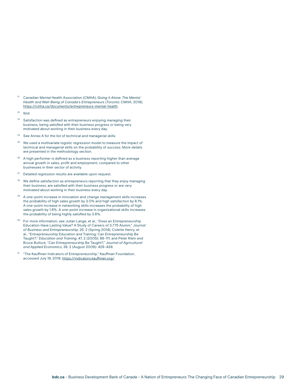- <sup>31</sup> Canadian Mental Health Association (CMHA), *Going it Alone: The Mental Health and Well-Being of Canada's Entrepreneurs* (Toronto: CMHA, 2019). [https://cmha.ca/documents/entrepreneurs-mental-health.](https://cmha.ca/documents/entrepreneurs-mental-health)
- $32$  Ibid.
- <sup>33</sup> Satisfaction was defined as entrepreneurs enjoying managing their business, being satisfied with their business progress or being very motivated about working in their business every day.
- <sup>34</sup> See Annex A for the list of technical and managerial skills.
- <sup>35</sup> We used a multivariate logistic regression model to measure the impact of technical and managerial skills on the probability of success. More details are presented in the methodology section.
- <sup>36</sup> A high performer is defined as a business reporting higher than average annual growth in sales, profit and employment, compared to other businesses in their sector of activity.
- <sup>37</sup> Detailed regression results are available upon request.
- <sup>38</sup> We define satisfaction as entrepreneurs reporting that they enjoy managing their business, are satisfied with their business progress or are very motivated about working in their business every day.
- A one-point increase in innovation and change management skills increases the probability of high sales growth by 3.0% and high satisfaction by 6.1%. A one-point increase in networking skills increases the probability of high sales growth by 1.6%. A one-point increase in organizational skills increases the probability of being highly satisfied by 3.6%.
- <sup>40</sup> For more information, see Julian Lange, et al., "Does an Entrepreneurship Education Have Lasting Value? A Study of Careers of 3,775 Alumni," *Journal of Business and Entrepreneurship*, 25, 2 (Spring 2014); Colette Henry, et al., "Entrepreneurship Education and Training: Can Entrepreneurship Be Taught?," *Education and Training*, 47, 2 (2005): 98–111; and Peter Klein and Bruce Bullock, "Can Entrepreneurship Be Taught?," *Journal of Agricultural and Applied Economics*, 38, 2 (August 2006): 429–439.
- <sup>41</sup> "The Kauffman Indicators of Entrepreneurship," Kauffman Foundation, accessed July 19, 2019.<https://indicators.kauffman.org/>.